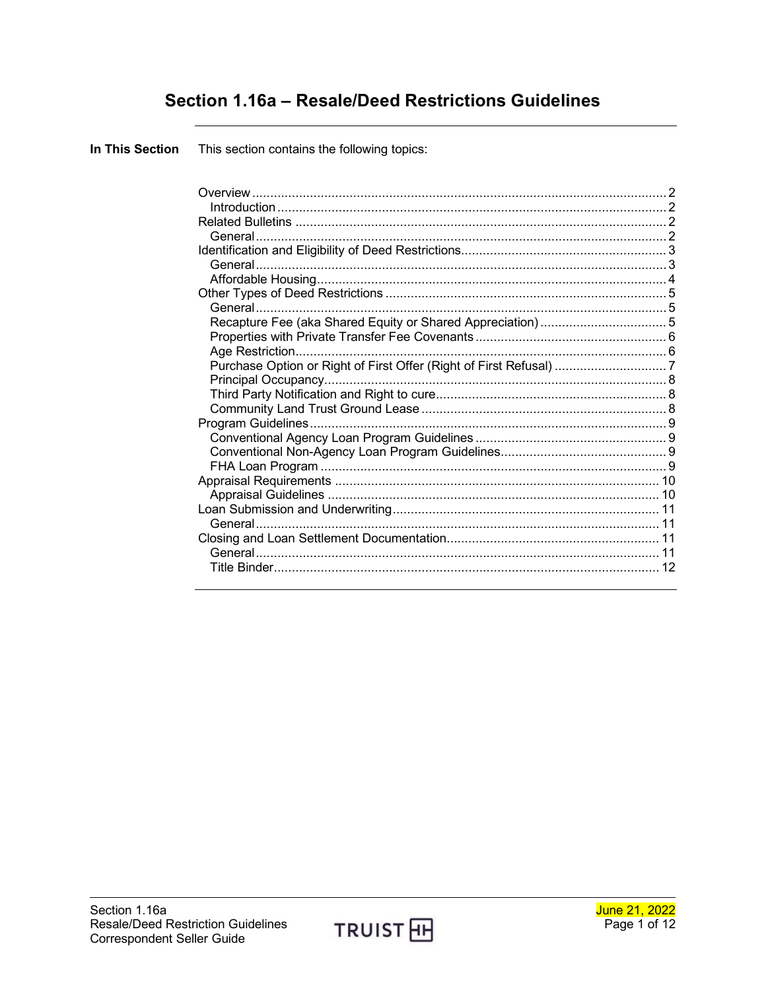## Section 1.16a - Resale/Deed Restrictions Guidelines

This section contains the following topics: In This Section

| Purchase Option or Right of First Offer (Right of First Refusal)  7 |  |
|---------------------------------------------------------------------|--|
|                                                                     |  |
|                                                                     |  |
|                                                                     |  |
|                                                                     |  |
|                                                                     |  |
|                                                                     |  |
|                                                                     |  |
|                                                                     |  |
|                                                                     |  |
|                                                                     |  |
|                                                                     |  |
|                                                                     |  |
|                                                                     |  |
|                                                                     |  |

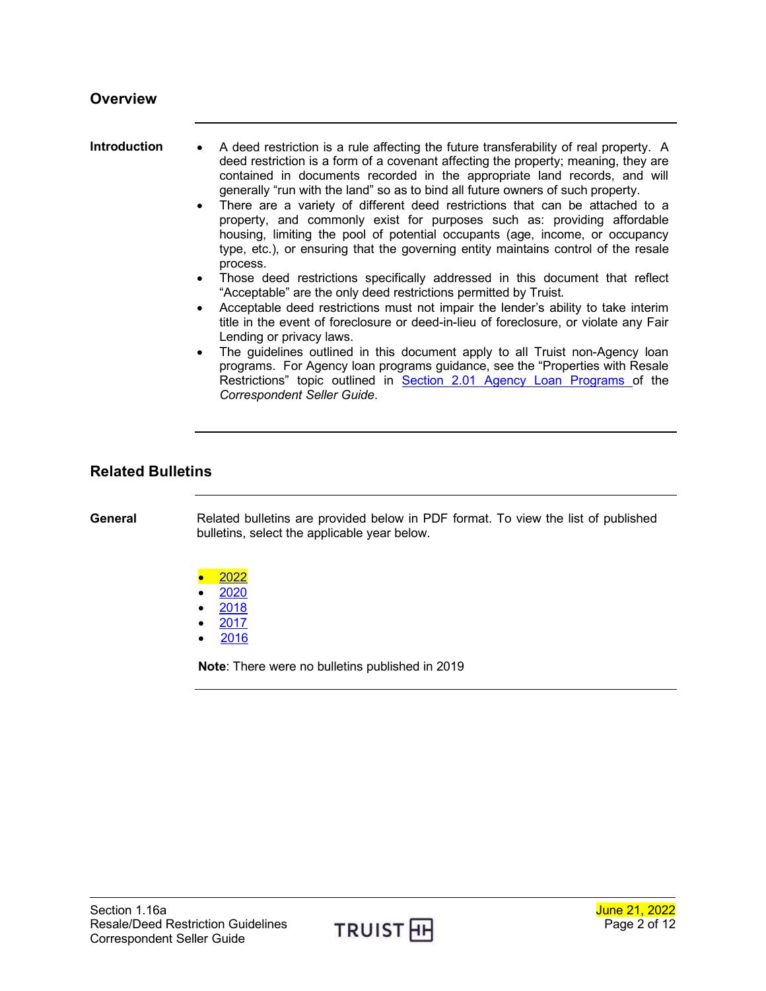<span id="page-1-1"></span><span id="page-1-0"></span>

| Introduction | • A deed restriction is a rule affecting the future transferability of real property. A |
|--------------|-----------------------------------------------------------------------------------------|
|              | deed restriction is a form of a covenant affecting the property; meaning, they are      |
|              | contained in documents recorded in the appropriate land records, and will               |
|              | generally "run with the land" so as to bind all future owners of such property.         |

- There are a variety of different deed restrictions that can be attached to a property, and commonly exist for purposes such as: providing affordable housing, limiting the pool of potential occupants (age, income, or occupancy type, etc.), or ensuring that the governing entity maintains control of the resale process.
- Those deed restrictions specifically addressed in this document that reflect "Acceptable" are the only deed restrictions permitted by Truist.
- Acceptable deed restrictions must not impair the lender's ability to take interim title in the event of foreclosure or deed-in-lieu of foreclosure, or violate any Fair Lending or privacy laws.
- The guidelines outlined in this document apply to all Truist non-Agency loan programs. For Agency loan programs guidance, see the "Properties with Resale Restrictions" topic outlined in [Section 2.01 Agency Loan Programs o](https://www.truistsellerguide.com/manual/cor/products/cagency.pdf)f the *Correspondent Seller Guide*.

#### <span id="page-1-2"></span>**Related Bulletins**

<span id="page-1-3"></span>**General** Related bulletins are provided below in PDF format. To view the list of published bulletins, select the applicable year below.

- [2022](http://www.truistsellerguide.com/manual/cor/bulletins/Related%20Bulletins/2022/CDeedRestrictions2022.pdf)
- [2020](http://www.truistsellerguide.com/manual/cor/bulletins/Related%20Bulletins/2020/CDeedRestrictions2020.pdf)
- [2018](http://www.truistsellerguide.com/manual/cor/bulletins/Related%20Bulletins/2018/CDeedRestrictions2018.pdf)
- [2017](http://www.truistsellerguide.com/manual/cor/bulletins/Related%20Bulletins/2017/CDeedRestrictions2017.pdf) • [2016](http://www.truistsellerguide.com/manual/cor/bulletins/Related%20Bulletins/2016/CDeedRestrictions2016.pdf)

**Note**: There were no bulletins published in 2019

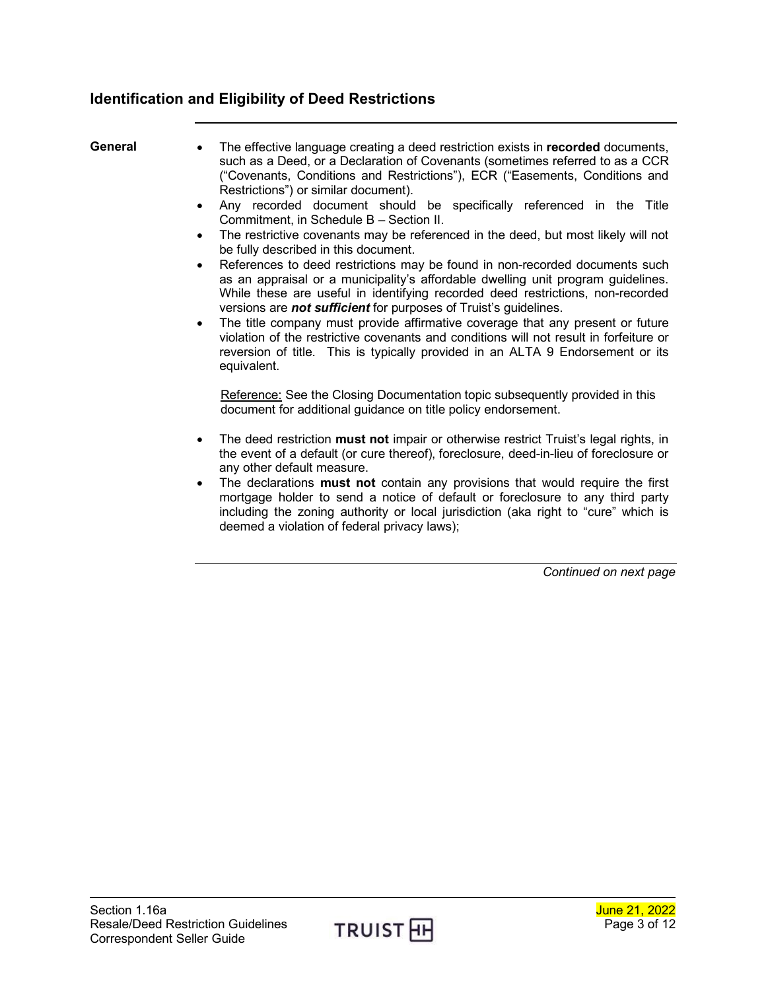## <span id="page-2-0"></span>**Identification and Eligibility of Deed Restrictions**

- <span id="page-2-1"></span>**General** • The effective language creating a deed restriction exists in **recorded** documents, such as a Deed, or a Declaration of Covenants (sometimes referred to as a CCR ("Covenants, Conditions and Restrictions"), ECR ("Easements, Conditions and Restrictions") or similar document).
	- Any recorded document should be specifically referenced in the Title Commitment, in Schedule B – Section II.
	- The restrictive covenants may be referenced in the deed, but most likely will not be fully described in this document.
	- References to deed restrictions may be found in non-recorded documents such as an appraisal or a municipality's affordable dwelling unit program guidelines. While these are useful in identifying recorded deed restrictions, non-recorded versions are *not sufficient* for purposes of Truist's guidelines.
	- The title company must provide affirmative coverage that any present or future violation of the restrictive covenants and conditions will not result in forfeiture or reversion of title. This is typically provided in an ALTA 9 Endorsement or its equivalent.

Reference: See the Closing Documentation topic subsequently provided in this document for additional guidance on title policy endorsement.

- The deed restriction **must not** impair or otherwise restrict Truist's legal rights, in the event of a default (or cure thereof), foreclosure, deed-in-lieu of foreclosure or any other default measure.
- The declarations **must not** contain any provisions that would require the first mortgage holder to send a notice of default or foreclosure to any third party including the zoning authority or local jurisdiction (aka right to "cure" which is deemed a violation of federal privacy laws);

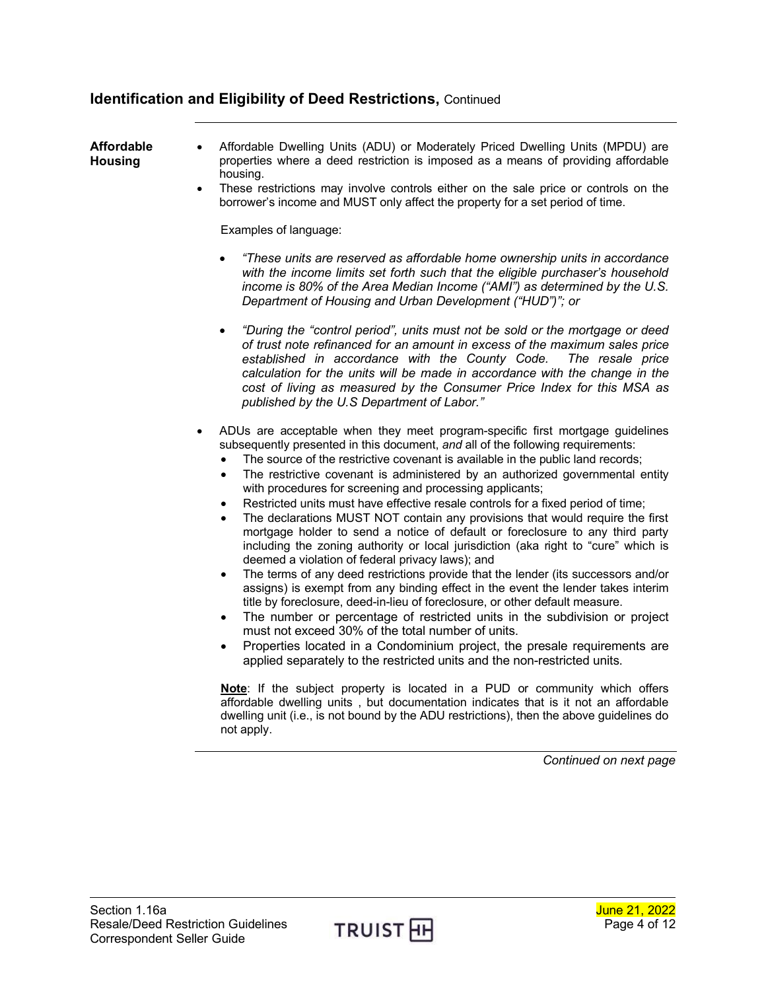### **Identification and Eligibility of Deed Restrictions,** Continued

#### <span id="page-3-0"></span>**Affordable Housing**

- Affordable Dwelling Units (ADU) or Moderately Priced Dwelling Units (MPDU) are properties where a deed restriction is imposed as a means of providing affordable housing.
	- These restrictions may involve controls either on the sale price or controls on the borrower's income and MUST only affect the property for a set period of time.

Examples of language:

- *"These units are reserved as affordable home ownership units in accordance with the income limits set forth such that the eligible purchaser's household income is 80% of the Area Median Income ("AMI") as determined by the U.S. Department of Housing and Urban Development ("HUD")"; or*
- *"During the "control period", units must not be sold or the mortgage or deed of trust note refinanced for an amount in excess of the maximum sales price*  established in accordance with the County Code. *calculation for the units will be made in accordance with the change in the cost of living as measured by the Consumer Price Index for this MSA as published by the U.S Department of Labor."*
- ADUs are acceptable when they meet program-specific first mortgage guidelines subsequently presented in this document, *and* all of the following requirements:
	- The source of the restrictive covenant is available in the public land records;
	- The restrictive covenant is administered by an authorized governmental entity with procedures for screening and processing applicants;
	- Restricted units must have effective resale controls for a fixed period of time;
	- The declarations MUST NOT contain any provisions that would require the first mortgage holder to send a notice of default or foreclosure to any third party including the zoning authority or local jurisdiction (aka right to "cure" which is deemed a violation of federal privacy laws); and
	- The terms of any deed restrictions provide that the lender (its successors and/or assigns) is exempt from any binding effect in the event the lender takes interim title by foreclosure, deed-in-lieu of foreclosure, or other default measure.
	- The number or percentage of restricted units in the subdivision or project must not exceed 30% of the total number of units.
	- Properties located in a Condominium project, the presale requirements are applied separately to the restricted units and the non-restricted units.

**Note**: If the subject property is located in a PUD or community which offers affordable dwelling units , but documentation indicates that is it not an affordable dwelling unit (i.e., is not bound by the ADU restrictions), then the above guidelines do not apply.

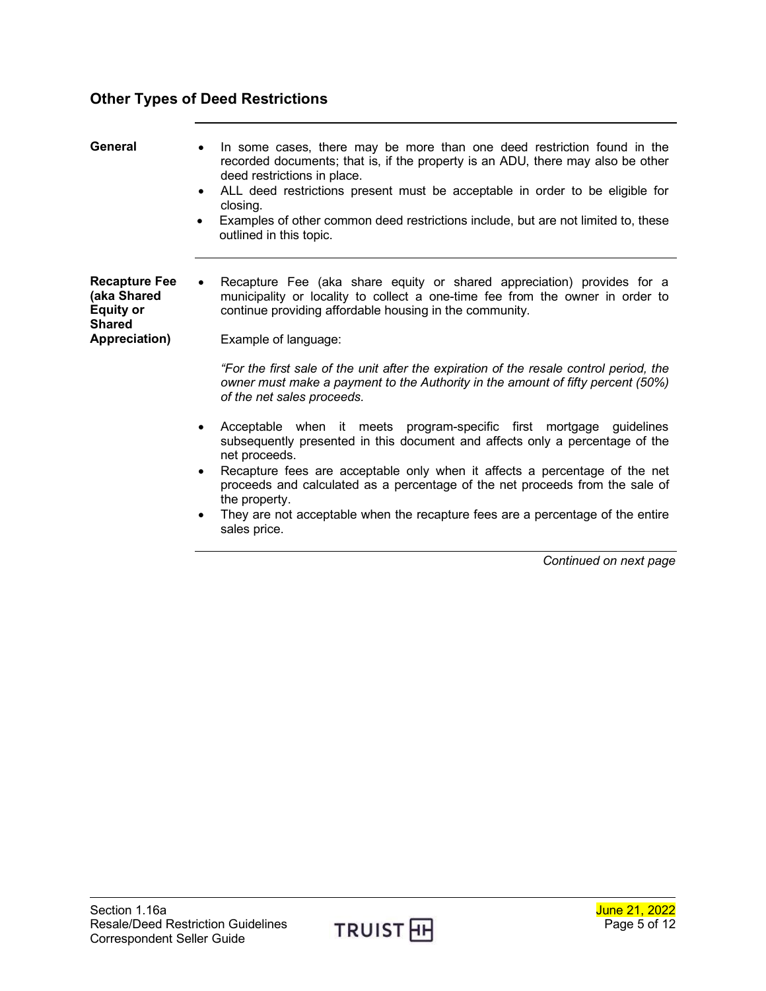## <span id="page-4-0"></span>**Other Types of Deed Restrictions**

<span id="page-4-2"></span><span id="page-4-1"></span>

| General                                                                                   | In some cases, there may be more than one deed restriction found in the<br>$\bullet$<br>recorded documents; that is, if the property is an ADU, there may also be other<br>deed restrictions in place.<br>ALL deed restrictions present must be acceptable in order to be eligible for<br>$\bullet$<br>closing.<br>Examples of other common deed restrictions include, but are not limited to, these<br>$\bullet$<br>outlined in this topic.                                                                                                                                                                                                                                                                                                                                                                                                                                                                                                       |
|-------------------------------------------------------------------------------------------|----------------------------------------------------------------------------------------------------------------------------------------------------------------------------------------------------------------------------------------------------------------------------------------------------------------------------------------------------------------------------------------------------------------------------------------------------------------------------------------------------------------------------------------------------------------------------------------------------------------------------------------------------------------------------------------------------------------------------------------------------------------------------------------------------------------------------------------------------------------------------------------------------------------------------------------------------|
| <b>Recapture Fee</b><br>(aka Shared<br><b>Equity or</b><br><b>Shared</b><br>Appreciation) | Recapture Fee (aka share equity or shared appreciation) provides for a<br>$\bullet$<br>municipality or locality to collect a one-time fee from the owner in order to<br>continue providing affordable housing in the community.<br>Example of language:<br>"For the first sale of the unit after the expiration of the resale control period, the<br>owner must make a payment to the Authority in the amount of fifty percent (50%)<br>of the net sales proceeds.<br>Acceptable when it meets program-specific first mortgage guidelines<br>$\bullet$<br>subsequently presented in this document and affects only a percentage of the<br>net proceeds.<br>Recapture fees are acceptable only when it affects a percentage of the net<br>$\bullet$<br>proceeds and calculated as a percentage of the net proceeds from the sale of<br>the property.<br>They are not acceptable when the recapture fees are a percentage of the entire<br>$\bullet$ |
|                                                                                           | sales price.                                                                                                                                                                                                                                                                                                                                                                                                                                                                                                                                                                                                                                                                                                                                                                                                                                                                                                                                       |

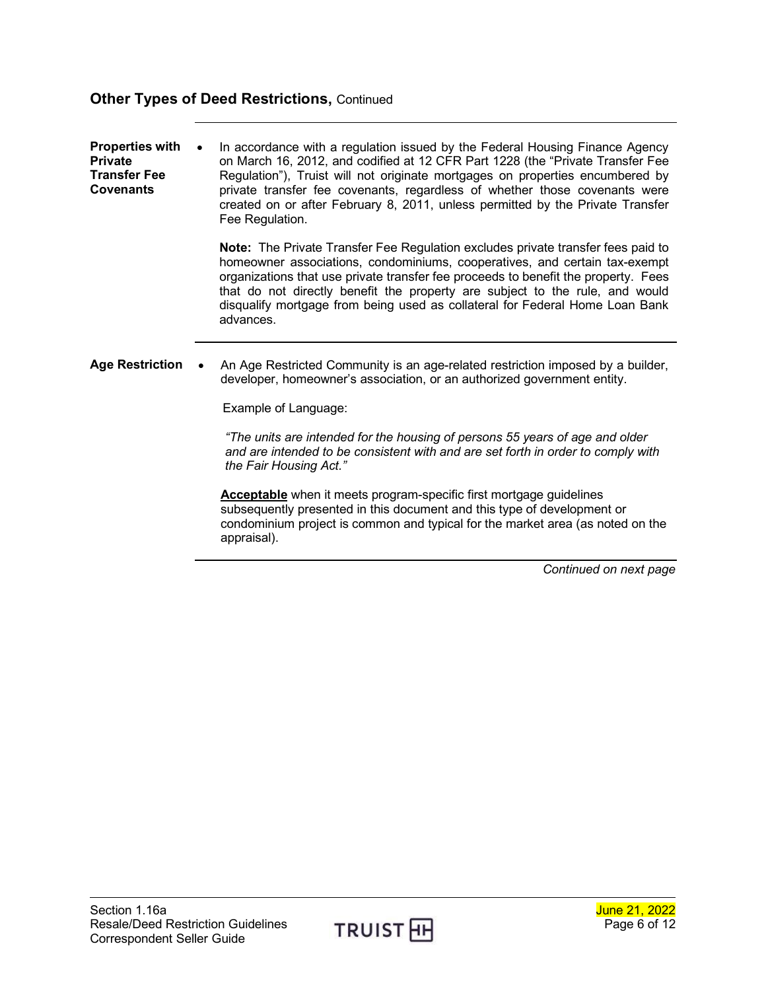## **Other Types of Deed Restrictions, Continued**

<span id="page-5-1"></span><span id="page-5-0"></span>

| <b>Properties with</b><br><b>Private</b><br><b>Transfer Fee</b><br><b>Covenants</b> | In accordance with a regulation issued by the Federal Housing Finance Agency<br>on March 16, 2012, and codified at 12 CFR Part 1228 (the "Private Transfer Fee<br>Regulation"), Truist will not originate mortgages on properties encumbered by<br>private transfer fee covenants, regardless of whether those covenants were<br>created on or after February 8, 2011, unless permitted by the Private Transfer<br>Fee Regulation. |
|-------------------------------------------------------------------------------------|------------------------------------------------------------------------------------------------------------------------------------------------------------------------------------------------------------------------------------------------------------------------------------------------------------------------------------------------------------------------------------------------------------------------------------|
|                                                                                     | Note: The Private Transfer Fee Regulation excludes private transfer fees paid to<br>homeowner associations, condominiums, cooperatives, and certain tax-exempt<br>organizations that use private transfer fee proceeds to benefit the property. Fees<br>that do not directly benefit the property are subject to the rule, and would<br>disqualify mortgage from being used as collateral for Federal Home Loan Bank<br>advances.  |
| <b>Age Restriction</b>                                                              | An Age Restricted Community is an age-related restriction imposed by a builder,<br>developer, homeowner's association, or an authorized government entity.<br>Example of Language:<br>"The units are intended for the housing of persons 55 years of age and older<br>and are intended to be consistent with and are set forth in order to comply with                                                                             |
|                                                                                     | the Fair Housing Act."<br><b>Acceptable</b> when it meets program-specific first mortgage guidelines<br>subsequently presented in this document and this type of development or<br>condominium project is common and typical for the market area (as noted on the<br>appraisal).                                                                                                                                                   |

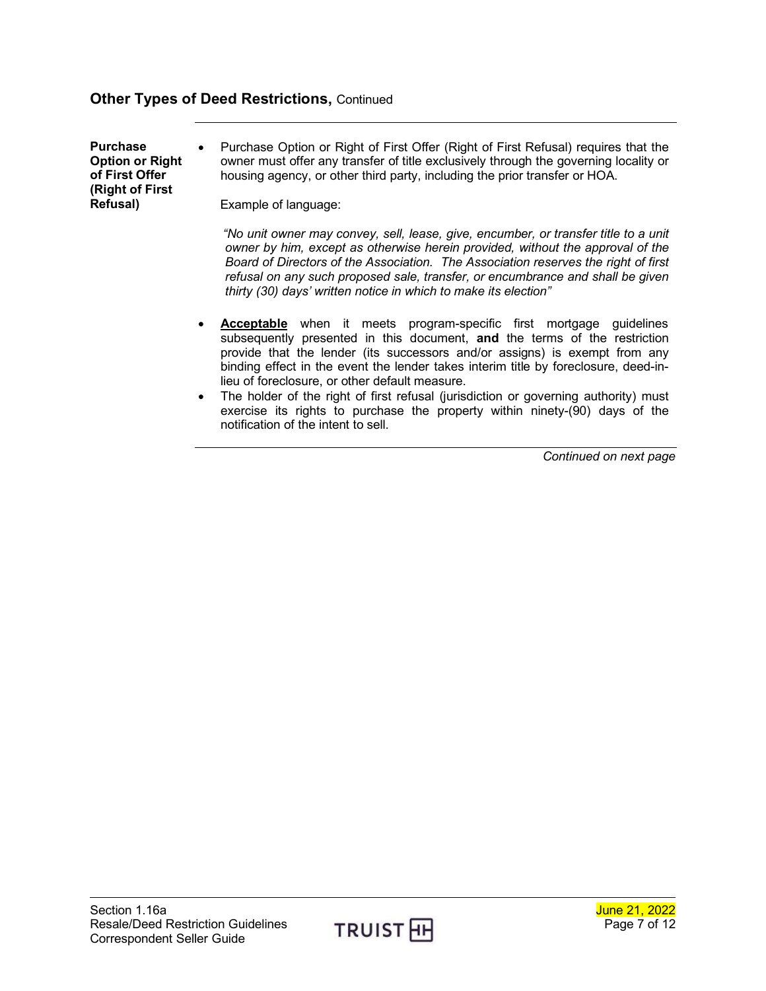### **Other Types of Deed Restrictions,** Continued

<span id="page-6-0"></span>**Purchase Option or Right of First Offer (Right of First Refusal)** • Purchase Option or Right of First Offer (Right of First Refusal) requires that the owner must offer any transfer of title exclusively through the governing locality or housing agency, or other third party, including the prior transfer or HOA. Example of language:

> *"No unit owner may convey, sell, lease, give, encumber, or transfer title to a unit owner by him, except as otherwise herein provided, without the approval of the Board of Directors of the Association. The Association reserves the right of first refusal on any such proposed sale, transfer, or encumbrance and shall be given thirty (30) days' written notice in which to make its election"*

- **Acceptable** when it meets program-specific first mortgage guidelines subsequently presented in this document, **and** the terms of the restriction provide that the lender (its successors and/or assigns) is exempt from any binding effect in the event the lender takes interim title by foreclosure, deed-inlieu of foreclosure, or other default measure.
- The holder of the right of first refusal (jurisdiction or governing authority) must exercise its rights to purchase the property within ninety-(90) days of the notification of the intent to sell.

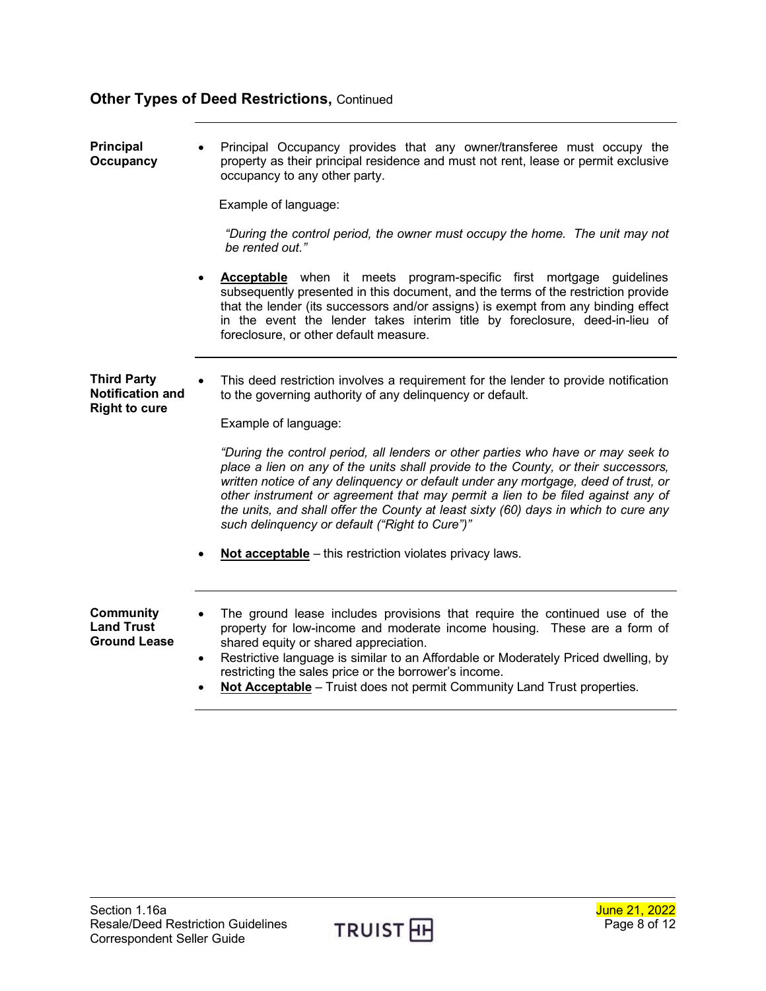## **Other Types of Deed Restrictions, Continued**

<span id="page-7-1"></span><span id="page-7-0"></span>

| <b>Principal</b><br>Occupancy                                         | Principal Occupancy provides that any owner/transferee must occupy the<br>$\bullet$<br>property as their principal residence and must not rent, lease or permit exclusive<br>occupancy to any other party.                                                                                                                                                                                                                                                                               |
|-----------------------------------------------------------------------|------------------------------------------------------------------------------------------------------------------------------------------------------------------------------------------------------------------------------------------------------------------------------------------------------------------------------------------------------------------------------------------------------------------------------------------------------------------------------------------|
|                                                                       | Example of language:                                                                                                                                                                                                                                                                                                                                                                                                                                                                     |
|                                                                       | "During the control period, the owner must occupy the home. The unit may not<br>be rented out."                                                                                                                                                                                                                                                                                                                                                                                          |
|                                                                       | <b>Acceptable</b> when it meets program-specific first mortgage guidelines<br>subsequently presented in this document, and the terms of the restriction provide<br>that the lender (its successors and/or assigns) is exempt from any binding effect<br>in the event the lender takes interim title by foreclosure, deed-in-lieu of<br>foreclosure, or other default measure.                                                                                                            |
| <b>Third Party</b><br><b>Notification and</b><br><b>Right to cure</b> | This deed restriction involves a requirement for the lender to provide notification<br>to the governing authority of any delinguency or default.                                                                                                                                                                                                                                                                                                                                         |
|                                                                       | Example of language:                                                                                                                                                                                                                                                                                                                                                                                                                                                                     |
|                                                                       | "During the control period, all lenders or other parties who have or may seek to<br>place a lien on any of the units shall provide to the County, or their successors,<br>written notice of any delinquency or default under any mortgage, deed of trust, or<br>other instrument or agreement that may permit a lien to be filed against any of<br>the units, and shall offer the County at least sixty (60) days in which to cure any<br>such delinquency or default ("Right to Cure")" |
|                                                                       | Not acceptable - this restriction violates privacy laws.                                                                                                                                                                                                                                                                                                                                                                                                                                 |
| <b>Community</b><br><b>Land Trust</b><br><b>Ground Lease</b>          | The ground lease includes provisions that require the continued use of the<br>$\bullet$<br>property for low-income and moderate income housing. These are a form of<br>shared equity or shared appreciation.<br>Restrictive language is similar to an Affordable or Moderately Priced dwelling, by<br>$\bullet$<br>restricting the sales price or the borrower's income.                                                                                                                 |

<span id="page-7-2"></span>• **Not Acceptable** – Truist does not permit Community Land Trust properties.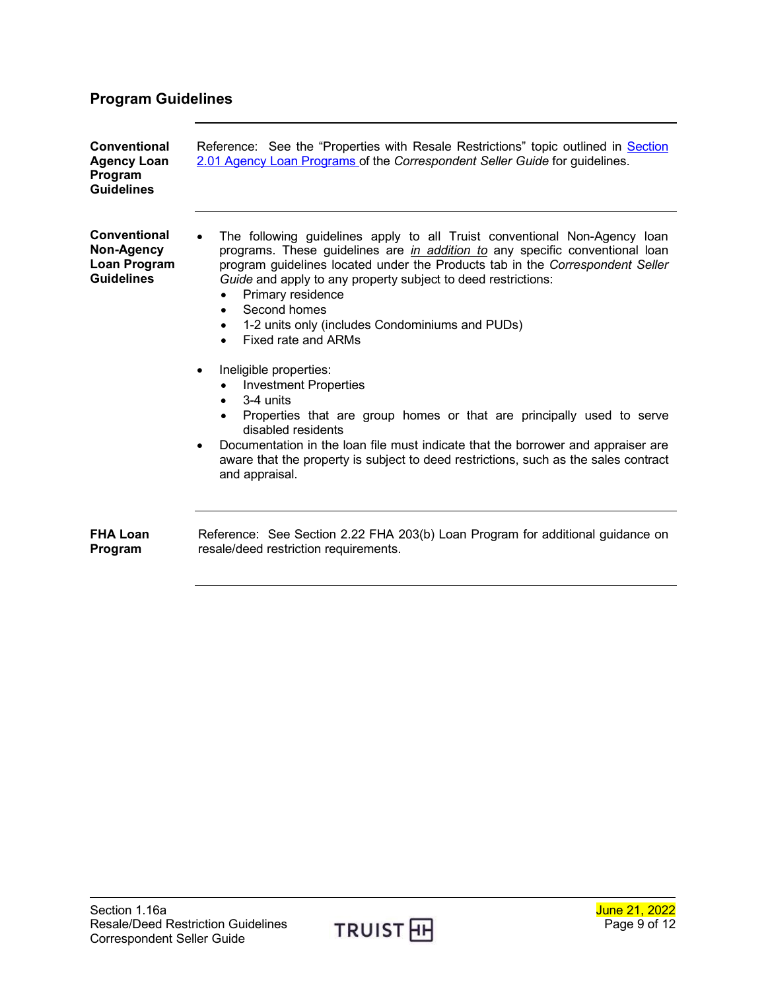# <span id="page-8-0"></span>**Program Guidelines**

<span id="page-8-3"></span><span id="page-8-2"></span><span id="page-8-1"></span>

| <b>Conventional</b><br><b>Agency Loan</b><br>Program<br><b>Guidelines</b> | Reference: See the "Properties with Resale Restrictions" topic outlined in Section<br>2.01 Agency Loan Programs of the Correspondent Seller Guide for guidelines.                                                                                                                                                                                                                                                                                                                                                                                                                                                                                                                                                                                                                                                                                        |
|---------------------------------------------------------------------------|----------------------------------------------------------------------------------------------------------------------------------------------------------------------------------------------------------------------------------------------------------------------------------------------------------------------------------------------------------------------------------------------------------------------------------------------------------------------------------------------------------------------------------------------------------------------------------------------------------------------------------------------------------------------------------------------------------------------------------------------------------------------------------------------------------------------------------------------------------|
| Conventional<br>Non-Agency<br>Loan Program<br><b>Guidelines</b>           | The following guidelines apply to all Truist conventional Non-Agency loan<br>programs. These guidelines are <i>in addition to</i> any specific conventional loan<br>program guidelines located under the Products tab in the Correspondent Seller<br>Guide and apply to any property subject to deed restrictions:<br>Primary residence<br>Second homes<br>$\bullet$<br>1-2 units only (includes Condominiums and PUDs)<br>$\bullet$<br>Fixed rate and ARMs<br>Ineligible properties:<br><b>Investment Properties</b><br>3-4 units<br>$\bullet$<br>Properties that are group homes or that are principally used to serve<br>disabled residents<br>Documentation in the loan file must indicate that the borrower and appraiser are<br>$\bullet$<br>aware that the property is subject to deed restrictions, such as the sales contract<br>and appraisal. |
| <b>FHA Loan</b><br>Program                                                | Reference: See Section 2.22 FHA 203(b) Loan Program for additional guidance on<br>resale/deed restriction requirements.                                                                                                                                                                                                                                                                                                                                                                                                                                                                                                                                                                                                                                                                                                                                  |

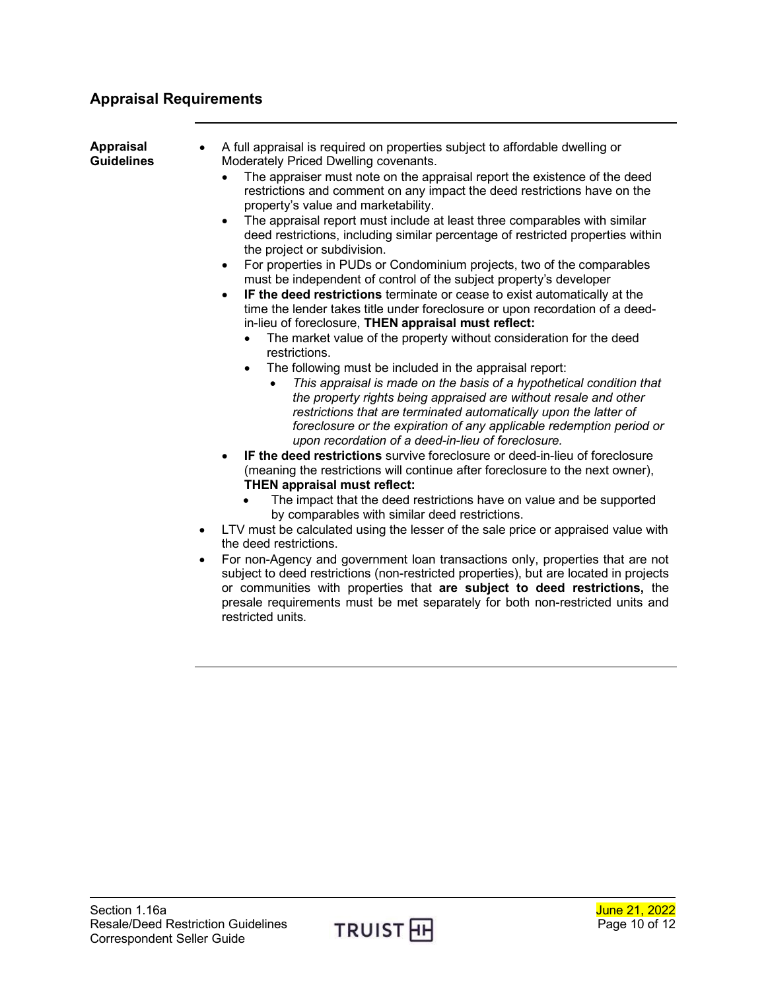## <span id="page-9-0"></span>**Appraisal Requirements**

<span id="page-9-1"></span>

| <b>Appraisal</b><br><b>Guidelines</b><br>$\bullet$<br>$\bullet$ | A full appraisal is required on properties subject to affordable dwelling or<br>Moderately Priced Dwelling covenants.<br>The appraiser must note on the appraisal report the existence of the deed<br>restrictions and comment on any impact the deed restrictions have on the<br>property's value and marketability.<br>The appraisal report must include at least three comparables with similar<br>$\bullet$<br>deed restrictions, including similar percentage of restricted properties within<br>the project or subdivision.<br>For properties in PUDs or Condominium projects, two of the comparables<br>$\bullet$<br>must be independent of control of the subject property's developer<br>IF the deed restrictions terminate or cease to exist automatically at the<br>$\bullet$<br>time the lender takes title under foreclosure or upon recordation of a deed-<br>in-lieu of foreclosure, THEN appraisal must reflect:<br>The market value of the property without consideration for the deed<br>$\bullet$<br>restrictions.<br>The following must be included in the appraisal report:<br>$\bullet$<br>This appraisal is made on the basis of a hypothetical condition that<br>the property rights being appraised are without resale and other<br>restrictions that are terminated automatically upon the latter of<br>foreclosure or the expiration of any applicable redemption period or<br>upon recordation of a deed-in-lieu of foreclosure.<br>IF the deed restrictions survive foreclosure or deed-in-lieu of foreclosure<br>$\bullet$<br>(meaning the restrictions will continue after foreclosure to the next owner),<br><b>THEN appraisal must reflect:</b><br>The impact that the deed restrictions have on value and be supported<br>by comparables with similar deed restrictions.<br>LTV must be calculated using the lesser of the sale price or appraised value with<br>the deed restrictions.<br>For non-Agency and government loan transactions only, properties that are not<br>subject to deed restrictions (non-restricted properties), but are located in projects<br>or communities with properties that are subject to deed restrictions, the<br>presale requirements must be met separately for both non-restricted units and<br>restricted units. |
|-----------------------------------------------------------------|----------------------------------------------------------------------------------------------------------------------------------------------------------------------------------------------------------------------------------------------------------------------------------------------------------------------------------------------------------------------------------------------------------------------------------------------------------------------------------------------------------------------------------------------------------------------------------------------------------------------------------------------------------------------------------------------------------------------------------------------------------------------------------------------------------------------------------------------------------------------------------------------------------------------------------------------------------------------------------------------------------------------------------------------------------------------------------------------------------------------------------------------------------------------------------------------------------------------------------------------------------------------------------------------------------------------------------------------------------------------------------------------------------------------------------------------------------------------------------------------------------------------------------------------------------------------------------------------------------------------------------------------------------------------------------------------------------------------------------------------------------------------------------------------------------------------------------------------------------------------------------------------------------------------------------------------------------------------------------------------------------------------------------------------------------------------------------------------------------------------------------------------------------------------------------------------------------------------------------------------------------------------------------------|

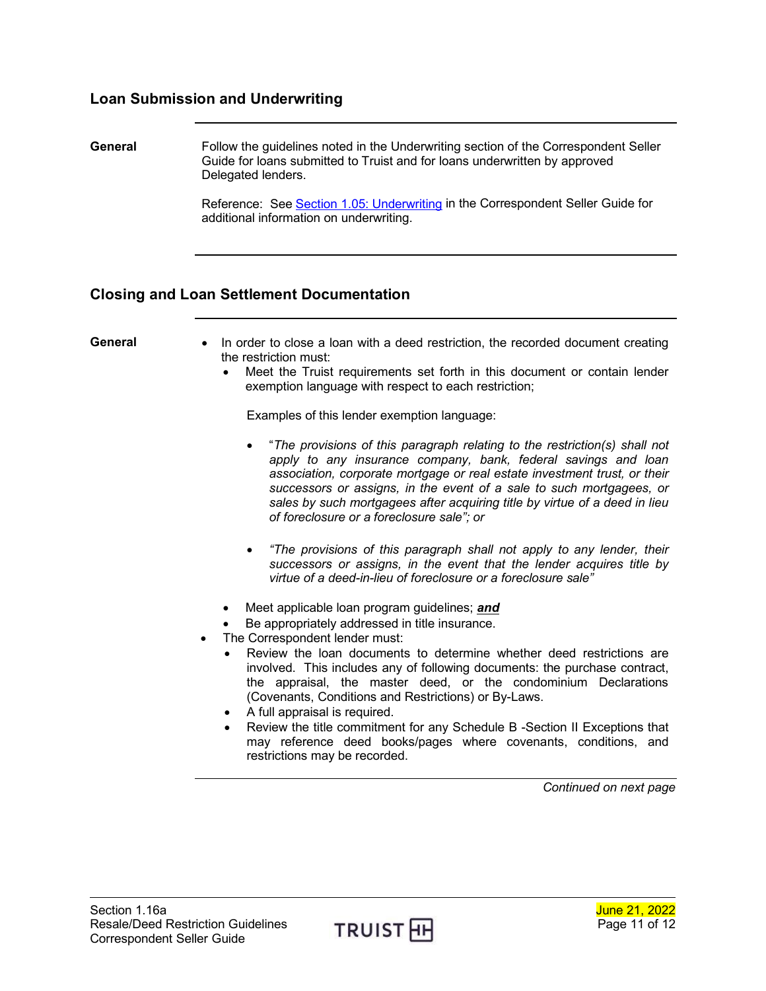#### <span id="page-10-0"></span>**Loan Submission and Underwriting**

<span id="page-10-1"></span>**General** Follow the guidelines noted in the Underwriting section of the Correspondent Seller Guide for loans submitted to Truist and for loans underwritten by approved Delegated lenders.

> Reference: See [Section 1.05: Underwriting](https://www.truistsellerguide.com/manual/cor/general/1.05Underwriting.pdf) in the Correspondent Seller Guide for additional information on underwriting.

#### <span id="page-10-2"></span>**Closing and Loan Settlement Documentation**

- <span id="page-10-3"></span>**General** • In order to close a loan with a deed restriction, the recorded document creating the restriction must:
	- Meet the Truist requirements set forth in this document or contain lender exemption language with respect to each restriction;

Examples of this lender exemption language:

- "*The provisions of this paragraph relating to the restriction(s) shall not apply to any insurance company, bank, federal savings and loan association, corporate mortgage or real estate investment trust, or their successors or assigns, in the event of a sale to such mortgagees, or sales by such mortgagees after acquiring title by virtue of a deed in lieu of foreclosure or a foreclosure sale"; or*
- *"The provisions of this paragraph shall not apply to any lender, their successors or assigns, in the event that the lender acquires title by virtue of a deed-in-lieu of foreclosure or a foreclosure sale"*
- Meet applicable loan program guidelines; *and*
- Be appropriately addressed in title insurance.
- The Correspondent lender must:
	- Review the loan documents to determine whether deed restrictions are involved. This includes any of following documents: the purchase contract, the appraisal, the master deed, or the condominium Declarations (Covenants, Conditions and Restrictions) or By-Laws.
	- A full appraisal is required.
	- Review the title commitment for any Schedule B -Section II Exceptions that may reference deed books/pages where covenants, conditions, and restrictions may be recorded.